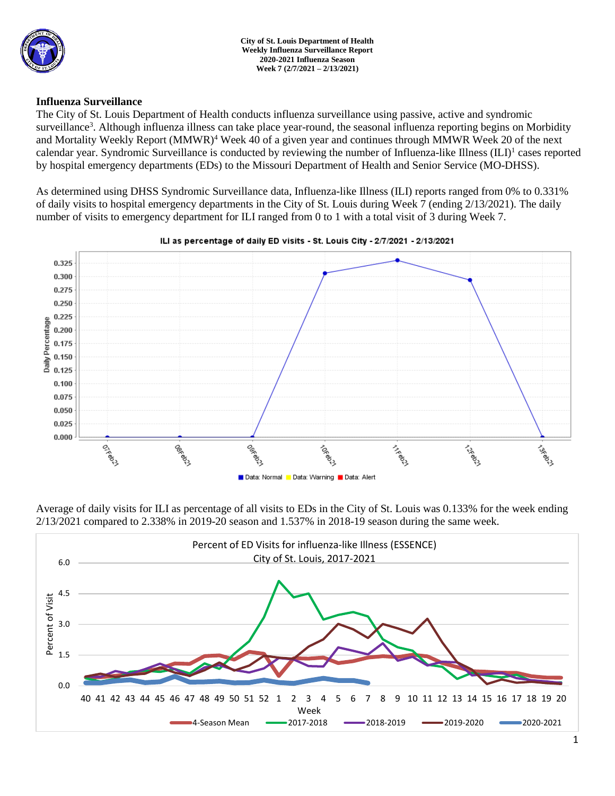

### **Influenza Surveillance**

The City of St. Louis Department of Health conducts influenza surveillance using passive, active and syndromic surveillance<sup>3</sup>. Although influenza illness can take place year-round, the seasonal influenza reporting begins on Morbidity and Mortality Weekly Report (MMWR)<sup>4</sup> Week 40 of a given year and continues through MMWR Week 20 of the next calendar year. Syndromic Surveillance is conducted by reviewing the number of Influenza-like Illness (ILI)<sup>1</sup> cases reported by hospital emergency departments (EDs) to the Missouri Department of Health and Senior Service (MO-DHSS).

As determined using DHSS Syndromic Surveillance data, Influenza-like Illness (ILI) reports ranged from 0% to 0.331% of daily visits to hospital emergency departments in the City of St. Louis during Week 7 (ending 2/13/2021). The daily number of visits to emergency department for ILI ranged from 0 to 1 with a total visit of 3 during Week 7.



### ILI as percentage of daily ED visits - St. Louis City - 2/7/2021 - 2/13/2021

Average of daily visits for ILI as percentage of all visits to EDs in the City of St. Louis was 0.133% for the week ending 2/13/2021 compared to 2.338% in 2019-20 season and 1.537% in 2018-19 season during the same week.

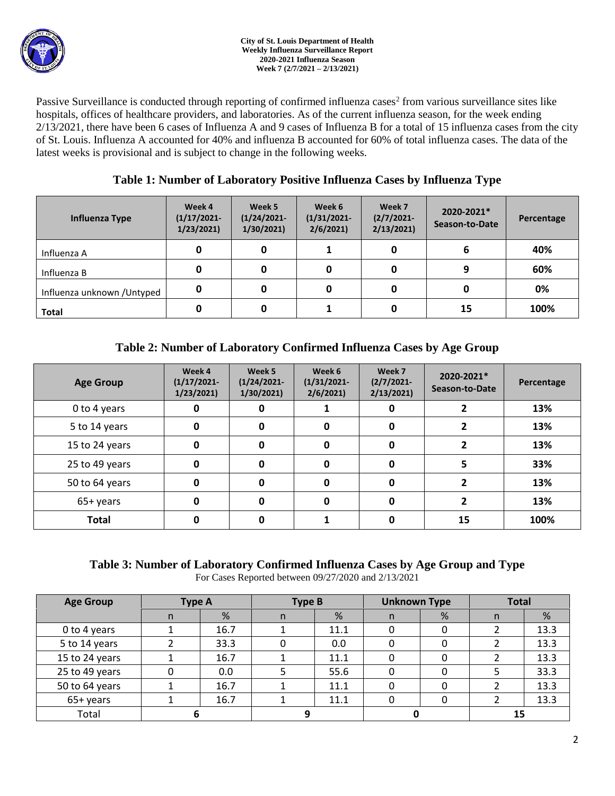

Passive Surveillance is conducted through reporting of confirmed influenza cases<sup>2</sup> from various surveillance sites like hospitals, offices of healthcare providers, and laboratories. As of the current influenza season, for the week ending  $2/13/2021$ , there have been 6 cases of Influenza A and 9 cases of Influenza B for a total of 15 influenza cases from the city of St. Louis. Influenza A accounted for 40% and influenza B accounted for 60% of total influenza cases. The data of the latest weeks is provisional and is subject to change in the following weeks.

## **Table 1: Number of Laboratory Positive Influenza Cases by Influenza Type**

| Influenza Type              | Week 4<br>$(1/17/2021 -$<br>1/23/2021 | Week 5<br>$(1/24/2021 -$<br>1/30/2021 | Week 6<br>$(1/31/2021 -$<br>2/6/2021 | Week 7<br>$(2/7/2021 -$<br>2/13/2021 | 2020-2021*<br>Season-to-Date | Percentage |
|-----------------------------|---------------------------------------|---------------------------------------|--------------------------------------|--------------------------------------|------------------------------|------------|
| Influenza A                 | 0                                     |                                       |                                      |                                      | 6                            | 40%        |
| Influenza B                 | 0                                     |                                       | 0                                    |                                      | 9                            | 60%        |
| Influenza unknown / Untyped | 0                                     |                                       | 0                                    |                                      |                              | 0%         |
| <b>Total</b>                | 0                                     |                                       |                                      |                                      | 15                           | 100%       |

# **Table 2: Number of Laboratory Confirmed Influenza Cases by Age Group**

| <b>Age Group</b> | Week 4<br>$(1/17/2021 -$<br>1/23/2021 | Week 5<br>$(1/24/2021 -$<br>1/30/2021 | Week 6<br>$(1/31/2021 -$<br>2/6/2021 | Week 7<br>$(2/7/2021 -$<br>2/13/2021 | 2020-2021*<br>Season-to-Date | Percentage |
|------------------|---------------------------------------|---------------------------------------|--------------------------------------|--------------------------------------|------------------------------|------------|
| 0 to 4 years     | 0                                     | 0                                     |                                      | 0                                    |                              | 13%        |
| 5 to 14 years    | 0                                     | 0                                     | 0                                    | $\mathbf{0}$                         |                              | 13%        |
| 15 to 24 years   | 0                                     | 0                                     | 0                                    | $\mathbf{0}$                         |                              | 13%        |
| 25 to 49 years   | 0                                     | O                                     | 0                                    | $\Omega$                             |                              | 33%        |
| 50 to 64 years   | 0                                     |                                       | 0                                    | $\Omega$                             |                              | 13%        |
| 65+ years        | 0                                     |                                       | 0                                    | O                                    |                              | 13%        |
| <b>Total</b>     |                                       |                                       |                                      |                                      | 15                           | 100%       |

# **Table 3: Number of Laboratory Confirmed Influenza Cases by Age Group and Type**

For Cases Reported between 09/27/2020 and 2/13/2021

| <b>Age Group</b> | <b>Type A</b> |      | <b>Type B</b> |      | <b>Unknown Type</b> |   | <b>Total</b> |      |
|------------------|---------------|------|---------------|------|---------------------|---|--------------|------|
|                  | n             | %    | n             | %    | n                   | % | n            | %    |
| 0 to 4 years     |               | 16.7 |               | 11.1 |                     |   |              | 13.3 |
| 5 to 14 years    |               | 33.3 |               | 0.0  |                     |   |              | 13.3 |
| 15 to 24 years   |               | 16.7 |               | 11.1 |                     |   |              | 13.3 |
| 25 to 49 years   |               | 0.0  |               | 55.6 |                     |   |              | 33.3 |
| 50 to 64 years   |               | 16.7 |               | 11.1 |                     |   |              | 13.3 |
| 65+ years        |               | 16.7 |               | 11.1 |                     |   |              | 13.3 |
| Total            |               |      |               |      |                     |   | 15           |      |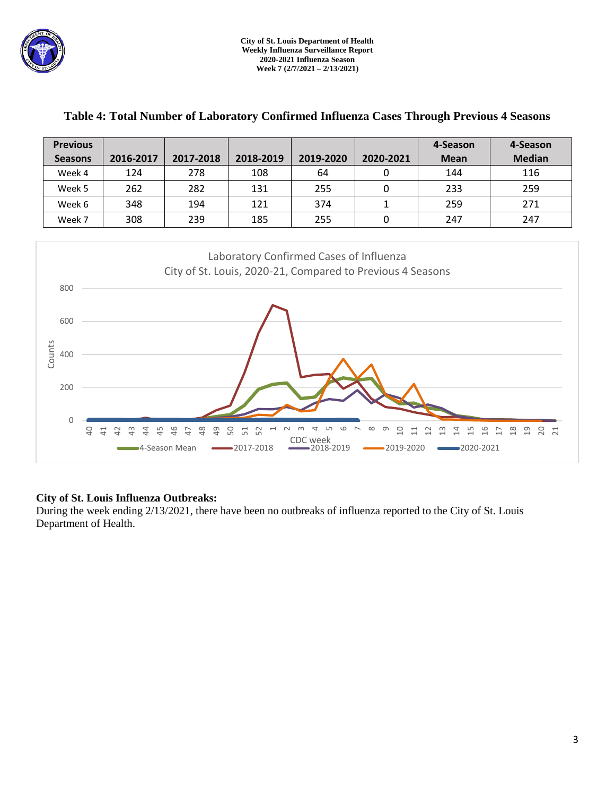

**Previous** 

T

T

| <b>Previous</b>                                                                                                                                                                                                                                                                                                                                                                                                                                                                                                                  |           |           |           |           |              | 4-Season    | 4-Season      |  |  |  |
|----------------------------------------------------------------------------------------------------------------------------------------------------------------------------------------------------------------------------------------------------------------------------------------------------------------------------------------------------------------------------------------------------------------------------------------------------------------------------------------------------------------------------------|-----------|-----------|-----------|-----------|--------------|-------------|---------------|--|--|--|
| <b>Seasons</b>                                                                                                                                                                                                                                                                                                                                                                                                                                                                                                                   | 2016-2017 | 2017-2018 | 2018-2019 | 2019-2020 | 2020-2021    | <b>Mean</b> | <b>Median</b> |  |  |  |
| Week 4                                                                                                                                                                                                                                                                                                                                                                                                                                                                                                                           | 124       | 278       | 108       | 64        | $\mathbf 0$  | 144         | 116           |  |  |  |
| Week 5                                                                                                                                                                                                                                                                                                                                                                                                                                                                                                                           | 262       | 282       | 131       | 255       | 0            | 233         | 259           |  |  |  |
| Week 6                                                                                                                                                                                                                                                                                                                                                                                                                                                                                                                           | 348       | 194       | 121       | 374       | $\mathbf{1}$ | 259         | 271           |  |  |  |
| Week 7                                                                                                                                                                                                                                                                                                                                                                                                                                                                                                                           | 308       | 239       | 185       | 255       | $\pmb{0}$    | 247         | 247           |  |  |  |
| Laboratory Confirmed Cases of Influenza<br>City of St. Louis, 2020-21, Compared to Previous 4 Seasons<br>800<br>600<br>Counts<br>400<br>200<br>0<br>50<br>$\overline{a}$<br>$\frac{8}{4}$<br>$\overline{6}$<br>45<br>46<br>51<br>52<br>$\Xi$<br>$\frac{8}{10}$<br>19<br>$\overline{41}$<br>$\overline{a}$<br>$\frac{1}{2}$<br>4<br>$\overline{\phantom{0}}$<br>음<br>20<br>21<br>$\overline{4}$<br>₩<br>24<br>17<br>₩<br>급<br><b>CDC</b> week<br>■4-Season Mean<br>$-2019-2020$<br>■2020-2021<br>$-2017 - 2018$<br>$-2018 - 2019$ |           |           |           |           |              |             |               |  |  |  |

### **Table 4: Total Number of Laboratory Confirmed Influenza Cases Through Previous 4 Seasons**

 $\overline{\phantom{a}}$ 

T

### **City of St. Louis Influenza Outbreaks:**

During the week ending 2/13/2021, there have been no outbreaks of influenza reported to the City of St. Louis Department of Health.